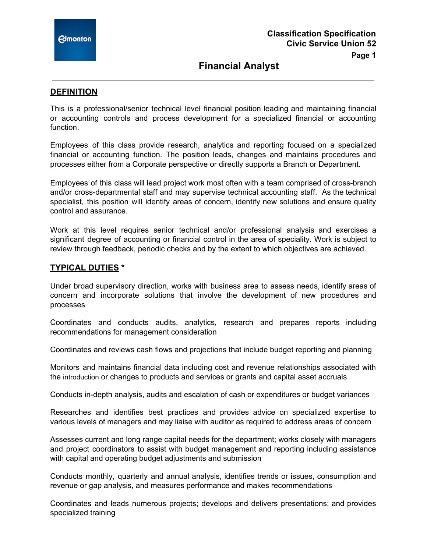

# **Financial Analyst**

## **DEFINITION**

This is a professional/senior technical level financial position leading and maintaining financial or accounting controls and process development for a specialized financial or accounting function.

Employees of this class provide research, analytics and reporting focused on a specialized financial or accounting function. The position leads, changes and maintains procedures and processes either from a Corporate perspective or directly supports a Branch or Department.

Employees of this class will lead project work most often with a team comprised of cross-branch and/or cross-departmental staff and may supervise technical accounting staff. As the technical specialist, this position will identify areas of concern, identify new solutions and ensure quality control and assurance.

Work at this level requires senior technical and/or professional analysis and exercises a significant degree of accounting or financial control in the area of speciality. Work is subject to review through feedback, periodic checks and by the extent to which objectives are achieved.

### **TYPICAL DUTIES \***

Under broad supervisory direction, works with business area to assess needs, identify areas of concern and incorporate solutions that involve the development of new procedures and processes

Coordinates and conducts audits, analytics, research and prepares reports including recommendations for management consideration

Coordinates and reviews cash flows and projections that include budget reporting and planning

Monitors and maintains financial data including cost and revenue relationships associated with the introduction or changes to products and services or grants and capital asset accruals

Conducts in-depth analysis, audits and escalation of cash or expenditures or budget variances

Researches and identifies best practices and provides advice on specialized expertise to various levels of managers and may liaise with auditor as required to address areas of concern

Assesses current and long range capital needs for the department; works closely with managers and project coordinators to assist with budget management and reporting including assistance with capital and operating budget adjustments and submission

Conducts monthly, quarterly and annual analysis, identifies trends or issues, consumption and revenue or gap analysis, and measures performance and makes recommendations

Coordinates and leads numerous projects; develops and delivers presentations; and provides specialized training